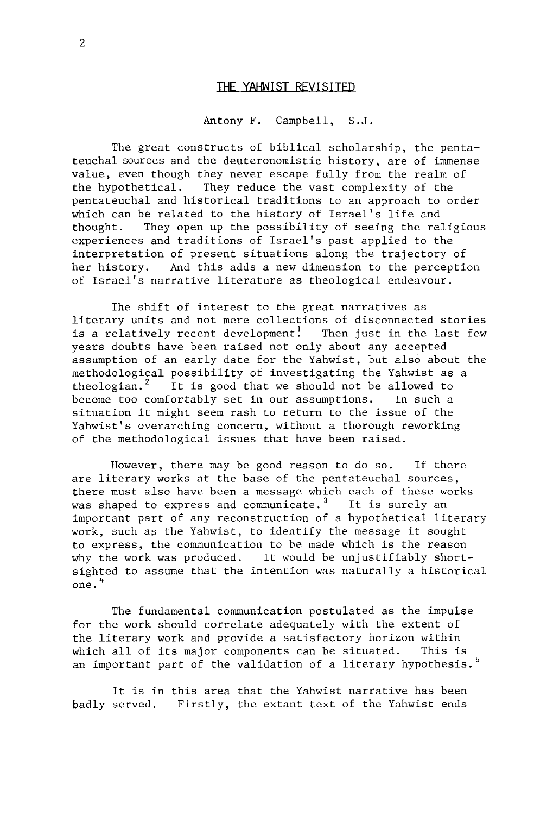## **THE YAHWIST REVISITED**

## Antony F. Campbell, S.J.

The great constructs of biblical scholarship, the pentateuchal sources and the deuteronomistic history, are of immense value, even though they never escape fully from the realm of<br>the hypothetical. They reduce the vast complexity of the They reduce the vast complexity of the pentateuchal and historical traditions to an approach to order which can be related to the history of Israel's life and<br>thought. They open up the possibility of seeing the re They open up the possibility of seeing the religious experiences and traditions of Israel's past applied to the interpretation of present situations along the trajectory of<br>her history. And this adds a new dimension to the percepti And this adds a new dimension to the perception of Israel's narrative literature as theological endeavour.

The shift of interest to the great narratives as literary units and not mere collections of disconnected stories is a relatively recent development! Then just in the last few years doubts have been raised not only about any accepted assumption of an early date for the Yahwist, but also about the methodological possibility of investigating the Yahwist as a theologian.<sup>2</sup> It is good that we should not be allowed to become too comfortably set in our assumptions. In such a situation it might seem rash to return to the issue of the Yahwist's overarching concern, without a thorough reworking of the methodological issues that have been raised.

However, there may be good reason to do so. If there are literary works at the base of the pentateuchal sources, there must also have been a message which each of these works was shaped to express and communicate.<sup>3</sup> It is surely an important part of any reconstruction of a hypothetical literary work, such as the Yahwist, to identify the message it sought to express, the communication to be made which is the reason why the work was produced. It would be unjustifiably shortsighted to assume that the intention was naturally a historical one. <sup>4</sup>

The fundamental communication postulated as the impulse for the work should correlate adequately with the extent of the literary work and provide a satisfactory horizon within which all of its major components can be situated. This is an important part of the validation of a literary hypothesis.<sup>5</sup>

It is in this area that the Yahwist narrative has been badly served. Firstly, the extant text of the Yahwist ends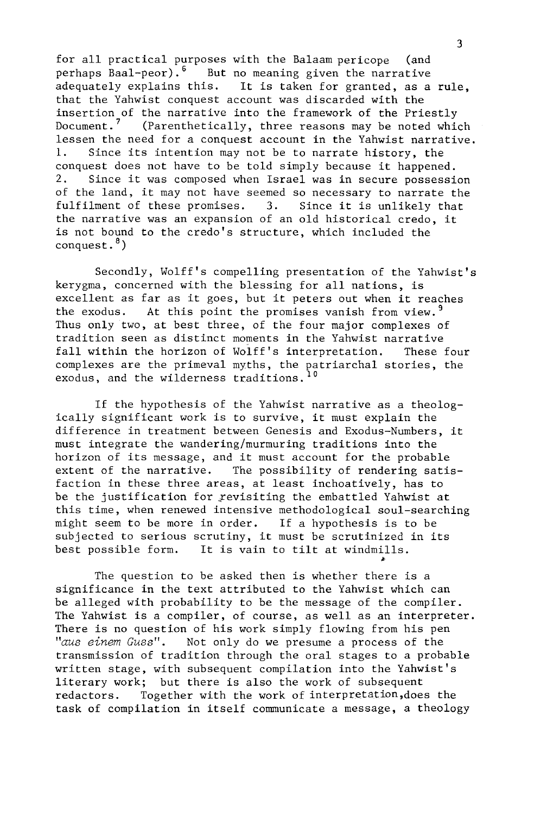for all practical purposes with the Balaam pericope (and perhaps Baal-peor).<sup>6</sup> But no meaning given the narrative adequately explains this. It is taken for granted, as a It is taken for granted, as a rule, that the Yahwist conquest account was discarded with the insertion of the narrative into the framework of the Priestly<br>Document.<sup>7</sup> (Parenthetically, three reasons may be noted whi (Parenthetically, three reasons may be noted which lessen the need for a conquest account in the Yahwist narrative. 1. Since its intention may not be to narrate history, the conquest does not have to be told simply because it happened.<br>2. Since it was composed when Israel was in secure possessi Since it was composed when Israel was in secure possession of the land, it may not have seemed so necessary to narrate the fulfilment of these promises. 3. Since it is unlikely that fulfilment of these promises. the narrative was an expansion of an old historical credo, it is not bound to the credo's structure, which included the conquest. $<sup>8</sup>$ )</sup>

Secondly, Wolff's compelling presentation of the Yahwist's kerygma, concerned with the blessing for all nations, is excellent as far as it goes, but it peters out when it reaches the exodus. At this point the promises vanish from view.<sup>9</sup> At this point the promises vanish from view.  $9$ Thus only two, at best three, of the four major complexes of tradition seen as distinct moments in the Yahwist narrative fall within the horizon of Wolff's interpretation. These four complexes are the primeval myths, the patriarchal stories, the exodus, and the wilderness traditions.<sup>10</sup>

If the hypothesis of the Yahwist narrative as a theologically significant work is to survive, it must explain the difference in treatment between Genesis and Exodus-Numbers, it must integrate the wandering/murmuring traditions into the horizon of its message, and it must account for the probable<br>extent of the narrative. The possibility of rendering satient The possibility of rendering satisfaction in these three areas, at least inchoatively, has to be the justification for revisiting the embattled Yahwist at this time, when renewed intensive methodological soul-searching might seem to be more in order. If a hypothesis is to be subjected to serious scrutiny, it must be scrutinized in its best possible form. It is vain to tilt at windmills. It is vain to tilt at windmills.

The question to be asked then is whether there is a significance in the text attributed to the Yahwist which can be alleged with probability to be the message of the compiler. The Yahwist is a compiler, of course, as well as an interpreter. There is no question of his work simply flowing from his pen *"aus einem Cuss".* Not only do we presume a process of the transmission of tradition through the oral stages to a probable written stage, with subsequent compilation into the Yahwist's literary work; but there is also the work of subsequent redactors. Together with the work of interpretation,does the task of compilation in itself communicate a message, a theology

~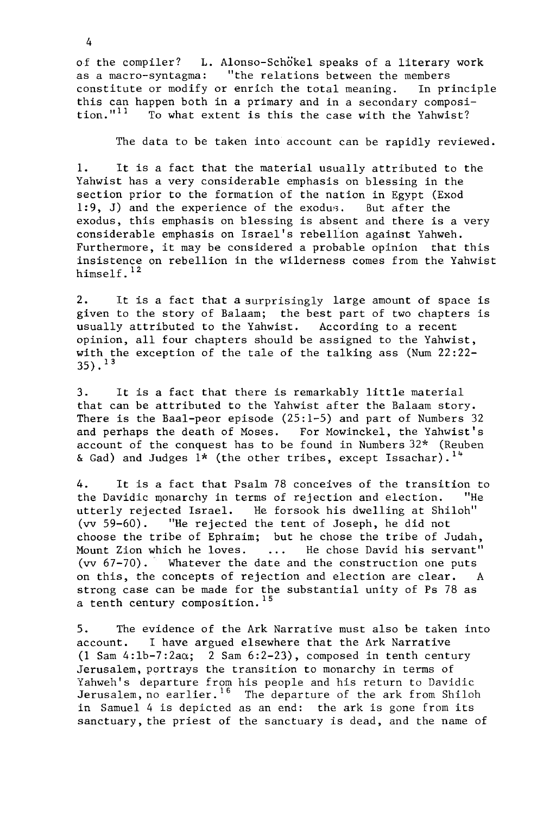of the compiler? L. Alonso-Schokel speaks of a literary work as a macro-syntagma: "the relations between the members constitute or modify or enrich the total meaning. In principle this can happen both in a primary and in a secondary composi-<br>tion."<sup>11</sup> To what extent is this the case with the Yahwist? To what extent is this the case with the Yahwist?

The data to be taken into account can be rapidly reviewed.

1. It is a fact that the material usually attributed to the Yahwist has a very considerable emphasis on blessing in the section prior to the formation of the nation in Egypt (Exod 1:9, J) and the experience of the exodus. But after the exodus, this emphasis on blessing is absent and there is a very considerable emphasis on Israel's rebellion against Yahweh. Furthermore, it may be considered a probable opinion that this insistence on rebellion in the wilderness comes from the Yahwist himself.<sup>12</sup>

2. It is a fact that a surprisingly large amount of space is given to the story of Balaam; the best part of two chapters is usually attributed to the Yahwist. According to a recent opinion, all four chapters should be assigned to the Yahwist, with the exception of the tale of the talking ass (Num 22:22-  $35)$ .  $13$ 

3. It is a fact that there is remarkably little material that can be attributed to the Yahwist after the Balaam story. There is the Baal-peor episode (25:1-5) and part of Numbers 32 and perhaps the death of Moses. For Mowinckel, the Yahwist's account of the conquest has to be found in Numbers 32\* (Reuben & Gad) and Judges  $1*$  (the other tribes, except Issachar).<sup>14</sup>

4. It is a fact that Psalm 78 conceives of the transition to<br>the Davidic monarchy in terms of rejection and election. "He the Davidic monarchy in terms of rejection and election. utterly rejected Israel. He forsook his dwelling at Shiloh" (vv 59-60). "He rejected the tent of Joseph, he did not choose the tribe of Ephraim; but he chose the tribe of Judah, Mount Zion which he loves. ... He chose David his servant" (vv 67-70). Whatever the date and the construction one puts on this, the concepts of rejection and election are clear. A strong case can be made for the substantial unity of Ps 78 as a tenth century composition. 15

5. The evidence of the Ark Narrative must also be taken into account. I have argued elsewhere that the Ark Narrative (1 Sam 4:1b-7:2aa; 2 Sam 6:2-23), composed in tenth century Jerusalem, portrays the transition to monarchy in terms of Yahweh's departure from his people and his return to Davidic Jerusalem, no earlier.<sup>16</sup> The departure of the ark from Shiloh in Samuel 4 is depicted as an end: the ark is gone from its sanctuary, the priest of the sanctuary is dead, and the name of

4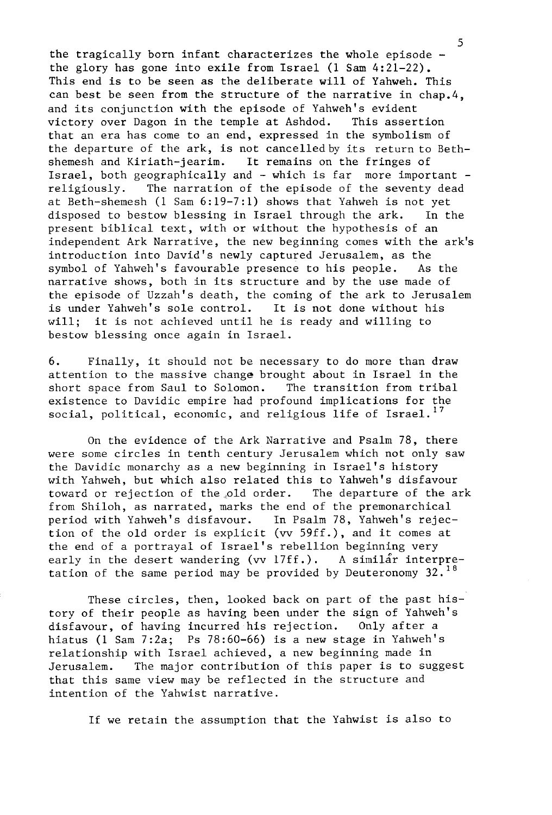the tragically born infant characterizes the whole episode the glory has gone into exile from Israel (1 Sam 4:21-22). This end is to be seen as the deliberate will of Yahweh. This can best be seen from the structure of the narrative in chap.4, and its conjunction with the episode of Yahweh's evident<br>victory over Dagon in the temple at Ashdod. This assertion victory over Dagon in the temple at Ashdod. that an era has come to an end, expressed in the symbolism of the departure of the ark, is not cancelledby its return to Bethshemesh and Kiriath-jearim. It remains on the fringes of Israel, both geographically and - which is far more important -<br>religiously. The narration of the episode of the seventy dead The narration of the episode of the seventy dead at Beth-shemesh (1 Sam 6:19-7:1) shows that Yahweh is not yet disposed to bestow blessing in Israel through the ark. present biblical text, with or without the hypothesis of an independent Ark Narrative, the new beginning comes with the ark's introduction into David's newly captured Jerusalem, as the symbol of Yahweh's favourable presence to his people. narrative shows, both in its structure and by the use made of the episode of Uzzah's death, the coming of the ark to Jerusalem<br>is under Yahweh's sole control. It is not done without his is under Yahweh's sole control.<br>will: it is not achieved until it is not achieved until he is ready and willing to bestow blessing once again in Israel.

6. Finally, it should not be necessary to do more than draw attention to the massive change brought about in Israel in the short space from Saul to Solomon. The transition from tribal short space from Saul to Solomon. existence to Davidic empire had profound implications for the social, political, economic, and religious life of Israel.<sup>17</sup>

On the evidence of the Ark Narrative and Psalm 78, there were some circles in tenth century Jerusalem which not only saw the Davidic monarchy as a new beginning in Israel's history with Yahweh, but which also related this to Yahweh's disfavour<br>toward or rejection of the old order. The departure of the ark toward or rejection of the old order. from Shiloh, as narrated, marks the end of the premonarchical period with Yahweh's disfavour. In Psalm 78, Yahweh's rejection of the old order is explicit (vv 59ff.), and it comes at the end of a portrayal of Israel's rebellion beginning very early in the desert wandering (vv  $17ff.$ ). A similar interpretation of the same period may be provided by Deuteronomy  $32.^{18}$ 

These circles, then, looked back on part of the past history of their people as having been under the sign of Yahweh's disfavour, of having incurred his rejection. Only after a hiatus (1 Sam 7:2a; Ps 78:60-66) is a new stage in Yahweh's relationship with Israel achieved, a new beginning made in Jerusalem. The major contribution of this paper is to suggest that this same view may be reflected in the structure and intention of the Yahwist narrative.

If we retain the assumption that the Yahwist is also to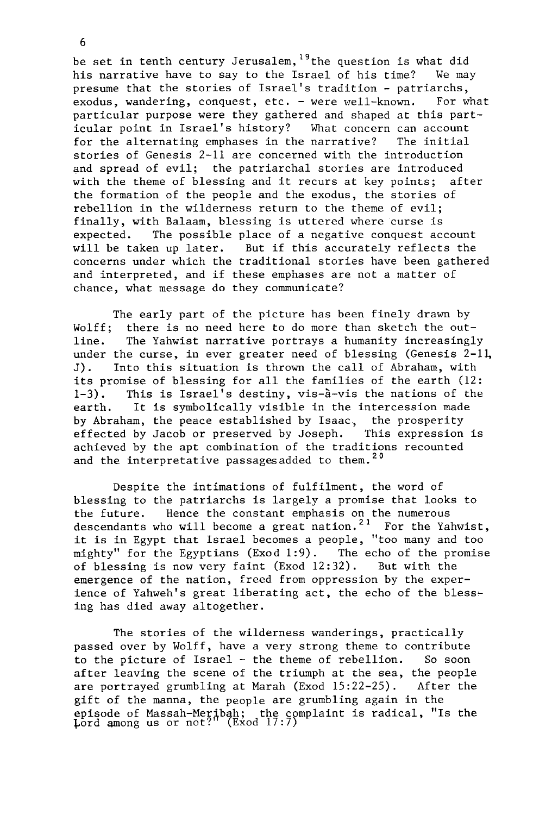be set in tenth century Jerusalem,<sup>19</sup> the question is what did<br>his narrative have to say to the Israel of his time? We may his narrative have to say to the Israel of his time? presume that the stories of Israel's tradition - patriarchs,<br>exodus, wandering, conquest, etc. - were well-known. For what exodus, wandering, conquest, etc.  $-$  were well-known. particular purpose were they gathered and shaped at this part-<br>icular point in Israel's history? What concern can account icular point in Israel's history? What concern can account<br>for the alternating emphases in the parrative? The initial for the alternating emphases in the narrative? stories of Genesis 2-11 are concerned with the introduction and spread of evil; the patriarchal stories are introduced with the theme of blessing and it recurs at key points; after the formation of the people and the exodus, the stories of rebellion in the wilderness return to the theme of evil; finally, with Balaam, blessing is uttered where curse is<br>expected. The possible place of a negative conquest ace The possible place of a negative conquest account will be taken up later. But if this accurately reflects the concerns under which the traditional stories have been gathered and interpreted, and if these emphases are not a matter of chance, what message do they communicate?

The early part of the picture has been finely drawn by<br>Wolff: there is no need here to do more than sketch the out-Wolff; there is no need here to do more than sketch the out-<br>line. The Yahwist narrative portrays a humanity increasingly The Yahwist narrative portrays a humanity increasingly under the curse, in ever greater need of blessing (Genesis  $2-11$ , J). Into this situation is thrown the call of Abraham, with its promise of blessing for all the families of the earth (12:<br>1-3). This is Israel's destiny, vis-à-vis the nations of the This is Israel's destiny, vis-à-vis the nations of the earth. It is symbolically visible in the intercession made by Abraham, the peace established by Isaac, the prosperity<br>effected by Jacob or preserved by Joseph. This expression is effected by Jacob or preserved by Joseph. achieved by the apt combination of the traditions recounted and the interpretative passages added to them.<sup>20</sup>

Despite the intimations of fulfilment, the word of blessing to the patriarchs is largely a promise that looks to<br>the future. Hence the constant emphasis on the numerous Hence the constant emphasis on the numerous descendants who will become a great nation.<sup>21</sup> For the Yahwist, it is in Egypt that Israel becomes a people, "too many and too<br>mighty" for the Egyptians (Exod 1:9). The echo of the promise mighty" for the Egyptians (Exod 1:9). The echo of the proof blessing is now very faint (Exod 12:32). But with the of blessing is now very faint (Exod  $12:32$ ). emergence of the nation, freed from oppression by the experience of Yahweh's great liberating act, the echo of the blessing has died away altogether.

The stories of the wilderness wanderings, practically passed over by Wolff, have a very strong theme to contribute to the picture of Israel - the theme of rebellion. So soon after leaving the scene of the triumph at the sea, the people are portrayed grumbling at Marah (Exod 15:22-25). After the gift of the manna, the people are grumbling again in the opisode of Massah-Meribah; the complaint is radical, "Is the  $_{\rm{pord} }$  among us or not?" (Exod 17:7)

6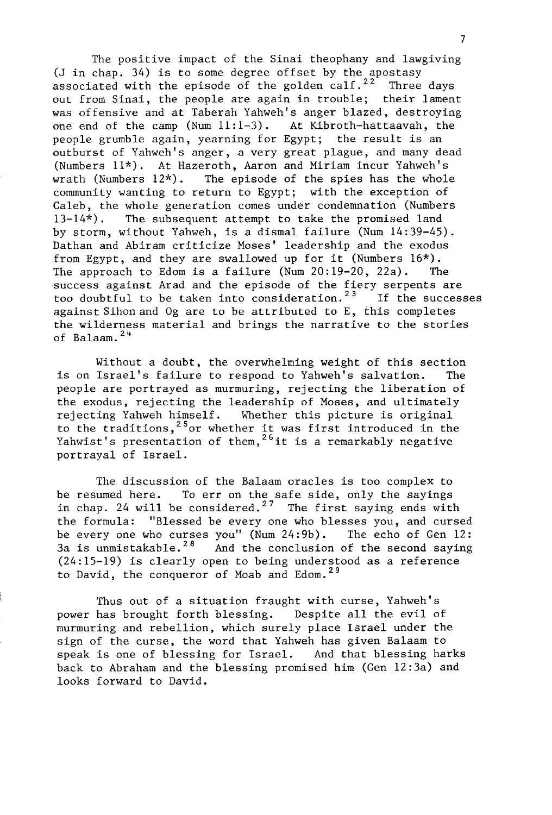The positive impact of the Sinai theophany and lawgiving (J in chap. 34) is to some degree offset by the apostasy<br>associated with the episode of the golden calf.<sup>22</sup> Three days associated with the episode of the golden calf.<sup>22</sup> out from Sinai, the people are again in trouble; their lament was offensive and at Taberah Yahweh's anger blazed, destroying<br>one end of the camp (Num  $11:1-3$ ). At Kibroth-hattaavah, the one end of the camp  $(Num 11:1-3)$ . people grumble again, yearning for Egypt; the result is an outburst of Yahweh's anger, a very great plague, and many dead (Numbers  $11^*$ ). At Hazeroth, Aaron and Miriam incur Yahweh's wrath (Numbers  $12^*$ ). The episode of the spies has the whole The episode of the spies has the whole community wanting to return to Egypt; with the exception of Caleb, the whole generation comes under condemnation (Numbers 13-14\*). The subsequent attempt to take the promised land by storm, without Yahweh, is a dismal failure (Num 14:39-45). Dathan and Abiram criticize Moses' leadership and the exodus from Egypt, and they are swallowed up for it (Numbers  $16<sup>*</sup>$ ).<br>The approach to Edom is a failure (Num 20:19-20, 22a). The The approach to Edom is a failure (Num  $20:19-20$ ,  $22a$ ). success against Arad and the episode of the fiery serpents are<br>too doubtful to be taken into consideration.<sup>23</sup> If the successes too doubtful to be taken into consideration.<sup>23</sup> against Sihonand Og are to be attributed to E, this completes the wilderness material and brings the narrative to the stories of Balaam.  $24$ 

Without a doubt, the overwhelming weight of this section is on Israel's failure to respond to Yahweh's salvation. The people are portrayed as murmuring, rejecting the liberation of the exodus, rejecting the leadership of Moses, and ultimately<br>rejecting Yahweh himself. Whether this picture is original Whether this picture is original to the traditions,  $25$  or whether it was first introduced in the Yahwist's presentation of them,  $^{26}$  it is a remarkably negative portrayal of Israel.

The discussion of the Balaam oracles is too complex to be resumed here. To err on the safe side, only the sayings in chap. 24 will be considered.<sup>27</sup> The first saying ends with the formula: "Blessed be every one who blesses you, and cursed be every one who curses you" (Num 24:9b). The echo of Gen 12: 3a is unmistakable.<sup>28</sup> And the conclusion of the second saying (24:15-19) is clearly open to being understood as a reference to David, the conqueror of Moab and Edom.<sup>29</sup>

Thus out of a situation fraught with curse, Yahweh's power has brought forth blessing. Despite all the evil of murmuring and rebellion, which surely place Israel under the sign of the curse, the word that Yahweh has given Balaam to speak is one of blessing for Israel. And that blessing harks back to Abraham and the blessing promised him (Gen 12:3a) and looks forward to David.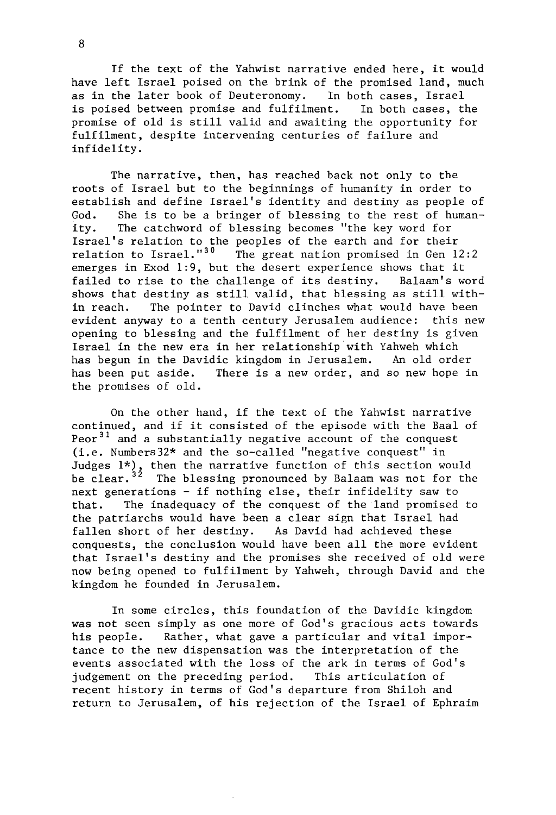If the text of the Yahwist narrative ended here, it would have left Israel poised on the brink of the promised land, much<br>as in the later book of Deuteronomy. In both cases. Israel as in the later book of Deuteronomy. In both cases, Israel<br>is poised between promise and fulfilment. In both cases, the is poised between promise and fulfilment. promise of old is still valid and awaiting the opportunity for fulfilment, despite intervening centuries of failure and infidelity.

The narrative, then, has reached back not only to the roots of Israel but to the beginnings of humanity in order to establish and define Israel's identity and destiny as people of God. She is to be a bringer of blessing to the rest of human-<br>ity. The catchword of blessing becomes "the key word for The catchword of blessing becomes "the key word for Israel's relation to the peoples of the earth and for their<br>relation to Israel."<sup>30</sup> The great nation promised in Gen 12 The great nation promised in Gen  $12:2$ emerges in Exod 1:9, but the desert experience shows that it<br>failed to rise to the challenge of its destiny. Balaam's word failed to rise to the challenge of its destiny. shows that destiny as still valid, that blessing as still with-<br>in reach. The pointer to David clinches what would have been The pointer to David clinches what would have been evident anyway to a tenth century Jerusalem audience: this new opening to blessing and the fulfilment of her destiny is given Israel in the new era in her relationship with Yahweh which has begun in the Davidic kingdom in Jerusalem. An old order has been put aside. There is a new order, and so new hope in the promises of old.

On the other hand, if the text of the Yahwist narrative continued, and if it consisted of the episode with the Baal of Peor<sup>31</sup> and a substantially negative account of the conquest  $(i.e.$  Numbers32\* and the so-called "negative conquest" in Judges  $1^*$ ), then the narrative function of this section would be clear.<sup>32</sup> The blessing pronounced by Balaam was not for the next generations - if nothing else, their infidelity saw to that. The inadequacy of the conquest of the land promised to the patriarchs would have been a clear sign that Israel had fallen short of her destiny. As David had achieved these As David had achieved these conquests, the conclusion would have been all the more evident that Israel's destiny and the promises she received of old were now being opened to fulfilment by Yahweh, through David and the kingdom he founded in Jerusalem.

In some circles, this foundation of the Davidic kingdom was not seen simply as one more of God's gracious acts towards his people. Rather, what gave a particular and vital importance to the new dispensation was the interpretation of the events associated with the loss of the ark in terms of God's judgement on the preceding period. This articulation of recent history in terms of God's departure from Shiloh and return to Jerusalem, of his rejection of the Israel of Ephraim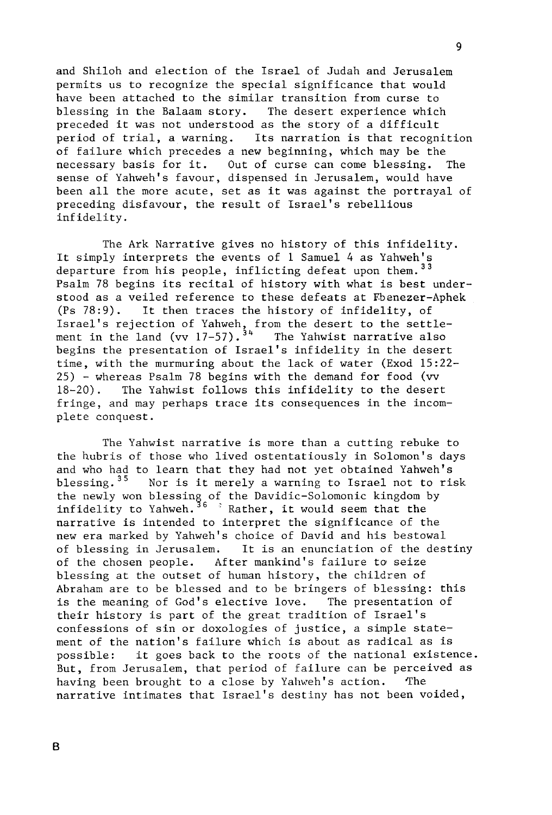and Shiloh and election of the Israel of Judah and Jerusalem permits us to recognize the special significance that would have been attached to the similar transition from curse to<br>blessing in the Balaam story. The desert experience which blessing in the Balaam story. preceded it was not understood as the story of a difficult<br>period of trial, a warning. Its narration is that recogn: Its narration is that recognition of failure which precedes a new beginning, which may be the<br>necessary basis for it. Out of curse can come blessing. The necessary basis for it. Out of curse can come blessing. sense of Yahweh's favour, dispensed in Jerusalem, would have been all the more acute, set as it was against the portrayal of preceding disfavour, the result of Israel's rebellious infidelity.

The Ark Narrative gives no history of this infidelity. It simply interprets the events of 1 Samuel 4 as Yahweh's departure from his people, inflicting defeat upon them.<sup>33</sup> Psalm 78 begins its recital of history with what is best understood as a veiled reference to these defeats at Fbenezer-Aphek<br>(Ps 78:9). It then traces the history of infidelity, of It then traces the history of infidelity, of Israel's rejection of Yahweh, from the desert to the settlement in the land (vv  $17-57)$ .<sup>34</sup> The Yahwist narrative also begins the presentation of Israel's infidelity in the desert time, with the murmuring about the lack of water (Exod 15:22- 25) - whereas Psalm 78 begins with the demand for food (vv 18-20). The Yahwist follows this infidelity to the desert fringe, and may perhaps trace its consequences in the incomplete conquest.

The Yahwist narrative is more than a cutting rebuke to the hubris of those who lived ostentatiously in Solomon's days and who had to learn that they had not yet obtained Yahweh's blessing.<sup>35</sup> Nor is it merely a warning to Israel not to ris Nor is it merely a warning to Israel not to risk the newly won blessing of the Davidic-Solomonic kingdom by infidelity to Yahweh.<sup>36</sup>  $\rightarrow$  Rather, it would seem that the narrative is intended to interpret the significance of the new era marked by Yahweh's choice of David and his bestowal of blessing in Jerusalem. It is an enunciation of the destiny<br>of the chosen people. After mankind's failure to seize After mankind's failure to seize blessing at the outset of human history, the children of Abraham are to be blessed and to be bringers of blessing: this is the meaning of God's elective love. The presentation of their history is part of the great tradition of Israel's confessions of sin or doxologies of justice, a simple statement of the nation's failure which is about as radical as is possible: it goes back to the roots of the national existence. But, from Jerusalem, that period of failure can be perceived as having been brought to a close by Yahweh's action. The narrative intimates that Israel's destiny has not been voided,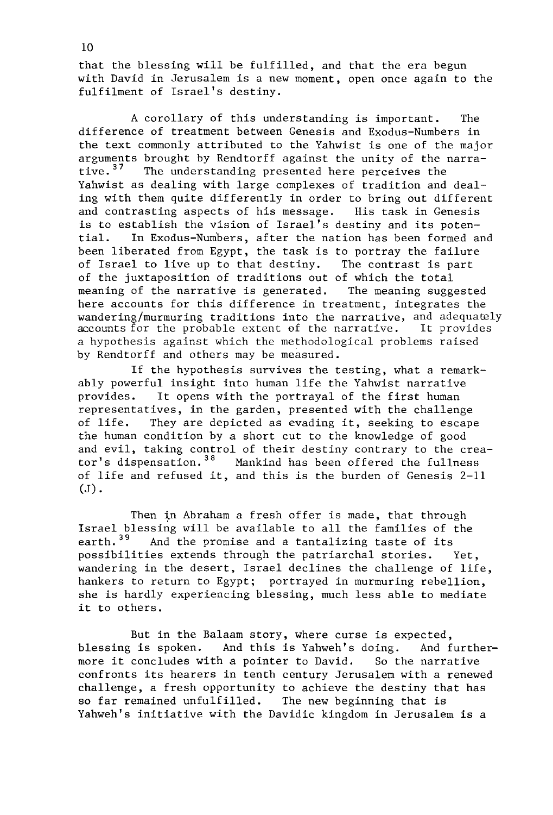that the blessing will be fulfilled, and that the era begun with David in Jerusalem is a new moment, open once again to the fulfilment of Israel's destiny.

A corollary of this understanding is important. The difference of treatment between Genesis and Exodus-Numbers in the text commonly attributed to the Yahwist is one of the major arguments brought by Rendtorff against the unity of the narra-<br>tive.<sup>37</sup> The understanding presented here perceives the The understanding presented here perceives the Yahwist as dealing with large complexes of tradition and dealing with them quite differently in order to bring out different<br>and contrasting aspects of his message. His task in Genesis and contrasting aspects of his message. is to establish the vision of Israel's destiny and its poten-<br>tial. In Exodus-Numbers, after the nation has been formed an In Exodus-Numbers, after the nation has been formed and been liberated from Egypt, the task is to portray the failure<br>of Israel to live up to that destiny. The contrast is part of Israel to live up to that destiny. of the juxtaposition of traditions out of which the total<br>meaning of the narrative is generated. The meaning suggested meaning of the narrative is generated. here accounts for this difference in treatment, integrates the wandering/murmuring traditions into the narrative, and adequately accounts for the probable extent of the narrative. It provides a hypothesis against which the methodological problems raised by Rendtorff and others may be measured.

If the hypothesis survives the testing, what a remarkably powerful insight into human life the Yahwist narrative provides. It opens with the portrayal of the first human representatives, in the garden, presented with the challenge of life. They are depicted as evading it, seeking to escape the human condition by a short cut to the knowledge of good and evil, taking control of their destiny contrary to the creator's dispensation.<sup>38</sup> Mankind has been offered the fullness of life and refused it, and this is the burden of Genesis 2-11 (J).

Then in Abraham a fresh offer is made, that through Israel blessing will be available to all the families of the earth.<sup>39</sup> And the promise and a tantalizing taste of its And the promise and a tantalizing taste of its possibilities extends through the patriarchal stories. Yet, wandering in the desert, Israel declines the challenge of life, hankers to return to Egypt; portrayed in murmuring rebellion, she is hardly experiencing blessing, much less able to mediate it to others.

But in the Balaam story, where curse is expected, blessing is spoken. And this is Yahweh's doing. And furthermore it concludes with a pointer to David. So the narrative confronts its hearers in tenth century Jerusalem with a renewed challenge, a fresh opportunity to achieve the destiny that has so far remained unfulfilled. The new beginning that is Yahweh's initiative with the Davidic kingdom in Jerusalem is a

10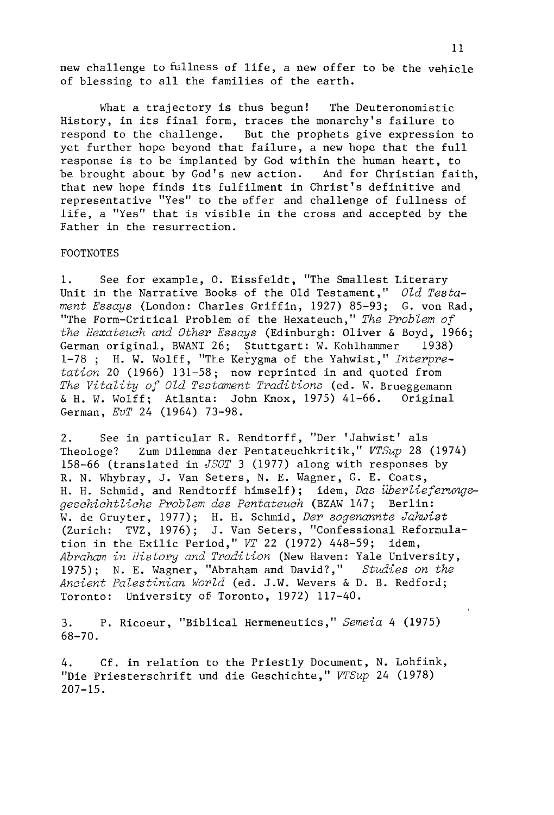new challenge to fullness of life, a new offer to be the vehicle of blessing to all the families of the earth.

What a trajectory is thus begun! The Deuteronomistic History, in its final form, traces the monarchy's failure to respond to the challenge. But the prophets give expression to yet further hope beyond that failure, a new hope that the full response is to be implanted by God within the human heart, to be brought about by God's new action. And for Christian faith, that new hope finds its fulfilment in Christ's definitive and representative "Yes" to the offer and challenge of fullness of life, a "Yes" that is visible in the cross and accepted by the Father in the resurrection.

## FOOTNOTES

1. See for example, o. Eissfeldt, "The Smallest Literary Unit in the Narrative Books of the Old Testament," *Old Testament Essays* (London: Charles Griffin, 1927) 85-93; G. von Rad, "The Form-Critical Problem of the Hexateuch," *The Problem of the Hexateuch and Other Essays* (Edinburgh: Oliver & Boyd, 1966; German original, BWANT 26; Stuttgart: W. Kohlhammer 1938) 1-78 ; H. W. Wolff, "The Kerygma of the Yahwist," *Interpretation* 20 (1966) 131-58; now reprinted in and quoted from *The Vitality of Old Testament Traditions* (ed. W. Brueggemann & H. W. Wolff; Atlanta: John Knox, 1975) 41-66. Original German, *EvT* 24 (1964) 73-98.

2. See in particular R. Rendtorff, "Der 'Jahwist' als Theologe? Zum Dilemma der Pentateuchkritik," *VTSup* 28 (1974) 158-66 (translated in *JSOT* 3 (1977) along with responses by R. N. Whybray, J. Van Seters, N. E. Wagner, G. E. Coats, H. H. Schmid, and Rendtorff himself); idem, *Das überlieferungsgeschichtliche Problem des Pentateuch* (BZAW 147; Berlin: W. de Gruyter, 1977); H. H. Schmid, *Der sogenannte Jahwist*  (Zurich: TVZ, 1976); J. Van Seters, "Confessional Reformulation in the Exilic Period," *VT* 22 (1972) 448-59; idem, *Abraham in History and Tradition* (New Haven: Yale University, 1975); N. E. Wagner, "Abraham and David?," *Studies on the Ancient Palestinian World* (ed. J.W. Wevers & D. B. Redford; Toronto: University of Toronto, 1972) 117-40.

3. P. Ricoeur, "Biblical Hermeneutics," *Semeia* 4 (1975) 68-70.

4. Cf. in relation to the Priestly Document, N. Lohfink, "Die Priesterschrift und die Geschichte," *VTSup* 24 (1978) 207-15.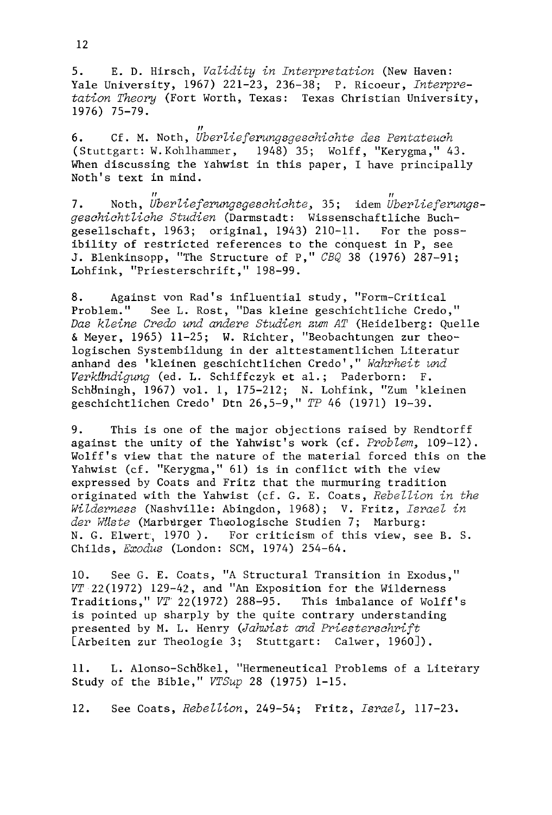5. E. D. Hirsch, *Validity in Interpretation* (New Haven: Yale University, 1967) 221-23, 236-38; P. Ricoeur, *Interpretation Theory* (Fort Worth, Texas: Texas Christian University, 1976) 75-79.

*11*  6. Cf. M. Noth, *Uberlieferungsgeschichte des Pentateuch*  (Stuttgart: W.Kohlhammer, 1948) 35; Wolff, "Kerygma," 43. When discussing the Yahwist in this paper, I have principally Noth's text in mind.

7. Noth, Uberlieferungsgeschichte, 35; idem Uberlieferungs*geschichtliche Studien* (Darmstadt: Wissenschaftliche Buchgesellschaft, 1963; original, 1943) 210-11. For the possibility of restricted references to the conquest in P, see J. Blenkinsopp, "The Structure of P," *CBQ* 38 (1976) 287-9l; Lohfink, "Priesterschrift," 198-99.

8. Against von Rad's influential study, "Form-Critical Problem." See L. Rost, "Das kleine geschichtliche Credo," *Das kleine Credo und andere Studien zum AT* (Heidelberg: Quelle & Meyer, 1965) 11-25; W. Richter, "Beobachtungen zur theologischen Systembildung in der alttestamentlichen Literatur anhand des 'kleinen geschichtlichen Credo' ," *Wahrheit und*  Verkundigung (ed. L. Schiffczyk et al.; Paderborn: F. SchBningh, 1967) vol. 1, 175-212; N. Lohfink, "Zum 'kleinen geschichtlichen Credo' Dtn 26,5-9," *TP* 46 (1971) 19-39.

9. This is one of the major objections raised by Rendtorff against the unity of the Yahwist's work (cf. Problem~ *109-12).*  Wolff's view that the nature of the material forced this on the Yahwist (cf. "Kerygma," 61) is in conflict with the view expressed by Coats and Fritz that the murmuring tradition originated with the Yahwist (cf. G. E. Coats, *Rebellion in the Wilderness* (Nashville: Abingdon, 1968); V. Fritz, *Israel in*  der Wlste (Marburger Theologische Studien 7; Marburg: N. G. Elwert, 1970). For criticism of this view, see B. S. Childs, *Exodus* (London: SCM, 1974) 254-64.

10. See G. E. Coats, "A Structural Transition in Exodus," *VT* 22 (1972) 129-42, and "An Exposition for the Wilderness Traditions," *VT'* 22(1972) 288-95. This imbalance of Wolff's is pointed up sharply by the quite contrary understanding presented by M. L. Henry *(Jahwist and Priesterschrift*  [Arbeiten zur Theologie 3; Stuttgart: Calwer, 1960]).

11. L. Alonso-SchBkel, "Hermeneutical Problems of a Literary Study of the Bible," *VTSup* 28 (1975) 1-15.

12. See Coats, *Rebellion,* 249-54; Fritz, Israel~ *117-23.*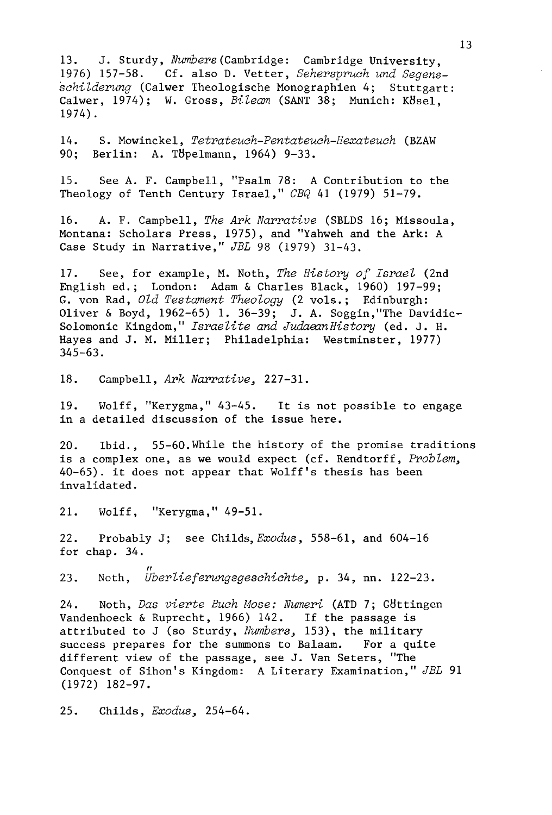13. J. Sturdy, *Numbers* (Cambridge: Cambridge University,<br>1976) 157-58. Cf. also D. Vetter. Seherspruch und Segens Cf. also D. Vetter, Seherspruch und Segens*schilderung* (Calwer Theologische Monographien 4; Stuttgart: Calwer, 1974); W. Gross, *Bileam* (SANT 38; Munich: K8sel, 1974).

14. S. Mowinckel, *Tetrateuch-Pentateuch-Hexateuch* (BZAW Berlin: A. Töbelmann, 1964) 9-33.

15. See A. F. Campbell, "Psalm 78: A Contribution to the Theology of Tenth Century Israel," CBQ 41 (1979) 51-79.

16. A. F. Campbell, *The Ark Narrative* (SBLDS 16; Missoula, Montana: Scholars Press, 1975), and "Yahweh and the Ark: A Case Study in Narrative," *JBL* 98 (1979) 31-43.

17. See, for example, M. Noth, *The History of Israel* (2nd English ed.; London: Adam & Charles Black, 1960) 197-99; G. von Rad, *Old Testament Theology* (2 vols.; Edinburgh: Oliver & Boyd, 1962-65) 1. 36-39; J. A. Soggin, "The Davidic-Solomonic Kingdom," *Israelite and JudaeanHistory* (ed. J. H. Hayes and J. M. Miller; Philadelphia: Westminster, 1977) 345-63.

18. Campbell, *Ark Narrative, 227-31.* 

19. Wolff, "Kerygma," 43-45. It is not possible to engage in a detailed discussion of the issue here.

20. Ibid., 55-60.While the history of the promise traditions is a complex one, as we would expect (cf. Rendtorff, *Problem,*  40-65). it does not appear that Wolff's thesis has been invalidated.

21. Wolff, "Kerygma," 49-51.

22. Probably J; see Childs, *Exodus,* 558-61, and 604-16 for chap. 34.

" 23. Noth, *Uberlieferungsgeschichte,* p. 34, nn. 122-23.

24. Noth, *Das vierte Buch Mose: Numeri* (ATD 7; GBttingen Vandenhoeck & Ruprecht, 1966) 142. If the passage is attributed to J (so Sturdy, *Numbers,* 153), the military success prepares for the summons to Balaam. For a quite different view of the passage, see J. Van Seters, "The Conquest of Sihon's Kingdom: A Literary Examination," *JBL 91*  (1972) 182-97.

25. Childs, *Exodus, 254-64.*